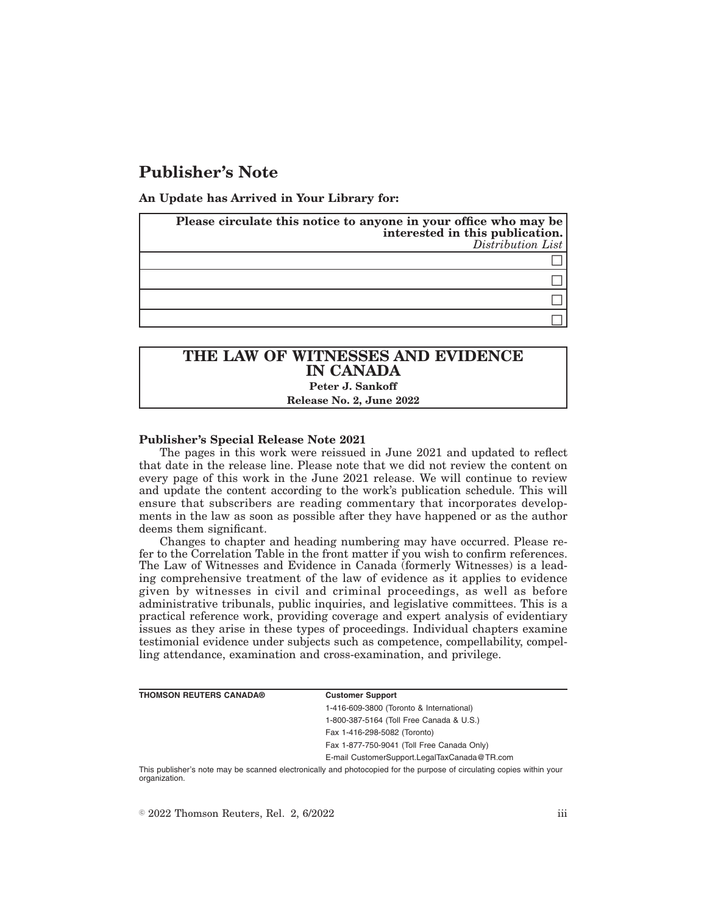# **Publisher's Note**

**An Update has Arrived in Your Library for:**

| Please circulate this notice to anyone in your office who may be<br>interested in this publication.<br>Distribution List |
|--------------------------------------------------------------------------------------------------------------------------|
|                                                                                                                          |
|                                                                                                                          |
|                                                                                                                          |
|                                                                                                                          |

## **THE LAW OF WITNESSES AND EVIDENCE IN CANADA Peter J. Sankoff Release No. 2, June 2022**

#### **Publisher's Special Release Note 2021**

The pages in this work were reissued in June 2021 and updated to reflect that date in the release line. Please note that we did not review the content on every page of this work in the June 2021 release. We will continue to review and update the content according to the work's publication schedule. This will ensure that subscribers are reading commentary that incorporates developments in the law as soon as possible after they have happened or as the author deems them significant.

Changes to chapter and heading numbering may have occurred. Please refer to the Correlation Table in the front matter if you wish to confirm references. The Law of Witnesses and Evidence in Canada (formerly Witnesses) is a leading comprehensive treatment of the law of evidence as it applies to evidence given by witnesses in civil and criminal proceedings, as well as before administrative tribunals, public inquiries, and legislative committees. This is a practical reference work, providing coverage and expert analysis of evidentiary issues as they arise in these types of proceedings. Individual chapters examine testimonial evidence under subjects such as competence, compellability, compelling attendance, examination and cross-examination, and privilege.

| <b>THOMSON REUTERS CANADA®</b> | <b>Customer Support</b>                                                                                               |
|--------------------------------|-----------------------------------------------------------------------------------------------------------------------|
|                                | 1-416-609-3800 (Toronto & International)                                                                              |
|                                | 1-800-387-5164 (Toll Free Canada & U.S.)                                                                              |
|                                | Fax 1-416-298-5082 (Toronto)                                                                                          |
|                                | Fax 1-877-750-9041 (Toll Free Canada Only)                                                                            |
|                                | E-mail CustomerSupport.LegalTaxCanada@TR.com                                                                          |
|                                | This publisher's note may be scanned electronically and photoconicd for the purpose of circulating copies within vour |

may be scanned electronically and photocopied for the purpose of circulating copies within your organization.

 $\degree$  2022 Thomson Reuters, Rel. 2, 6/2022 iii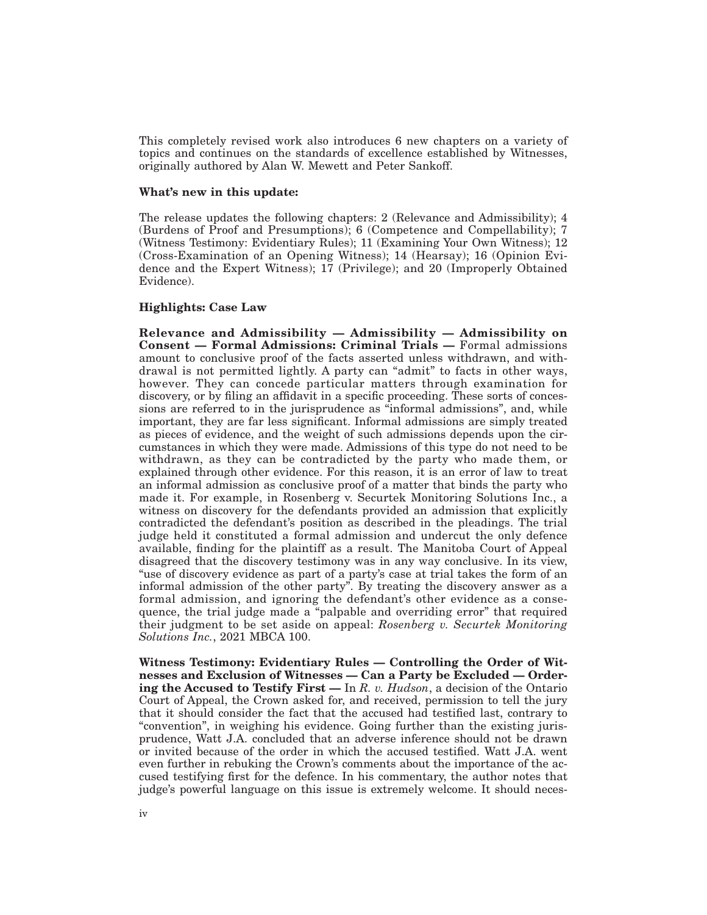This completely revised work also introduces 6 new chapters on a variety of topics and continues on the standards of excellence established by Witnesses, originally authored by Alan W. Mewett and Peter Sankoff.

#### **What's new in this update:**

The release updates the following chapters: 2 (Relevance and Admissibility); 4 (Burdens of Proof and Presumptions); 6 (Competence and Compellability); 7 (Witness Testimony: Evidentiary Rules); 11 (Examining Your Own Witness); 12 (Cross-Examination of an Opening Witness); 14 (Hearsay); 16 (Opinion Evidence and the Expert Witness); 17 (Privilege); and 20 (Improperly Obtained Evidence).

#### **Highlights: Case Law**

**Relevance and Admissibility — Admissibility — Admissibility on Consent — Formal Admissions: Criminal Trials —** Formal admissions amount to conclusive proof of the facts asserted unless withdrawn, and withdrawal is not permitted lightly. A party can "admit" to facts in other ways, however. They can concede particular matters through examination for discovery, or by filing an affidavit in a specific proceeding. These sorts of concessions are referred to in the jurisprudence as "informal admissions", and, while important, they are far less significant. Informal admissions are simply treated as pieces of evidence, and the weight of such admissions depends upon the circumstances in which they were made. Admissions of this type do not need to be withdrawn, as they can be contradicted by the party who made them, or explained through other evidence. For this reason, it is an error of law to treat an informal admission as conclusive proof of a matter that binds the party who made it. For example, in Rosenberg v. Securtek Monitoring Solutions Inc., a witness on discovery for the defendants provided an admission that explicitly contradicted the defendant's position as described in the pleadings. The trial judge held it constituted a formal admission and undercut the only defence available, finding for the plaintiff as a result. The Manitoba Court of Appeal disagreed that the discovery testimony was in any way conclusive. In its view, "use of discovery evidence as part of a party's case at trial takes the form of an informal admission of the other party". By treating the discovery answer as a formal admission, and ignoring the defendant's other evidence as a consequence, the trial judge made a "palpable and overriding error" that required their judgment to be set aside on appeal: *Rosenberg v. Securtek Monitoring Solutions Inc.*, 2021 MBCA 100.

**Witness Testimony: Evidentiary Rules — Controlling the Order of Witnesses and Exclusion of Witnesses — Can a Party be Excluded — Ordering the Accused to Testify First —** In *R. v. Hudson*, a decision of the Ontario Court of Appeal, the Crown asked for, and received, permission to tell the jury that it should consider the fact that the accused had testified last, contrary to "convention", in weighing his evidence. Going further than the existing jurisprudence, Watt J.A. concluded that an adverse inference should not be drawn or invited because of the order in which the accused testified. Watt J.A. went even further in rebuking the Crown's comments about the importance of the accused testifying first for the defence. In his commentary, the author notes that judge's powerful language on this issue is extremely welcome. It should neces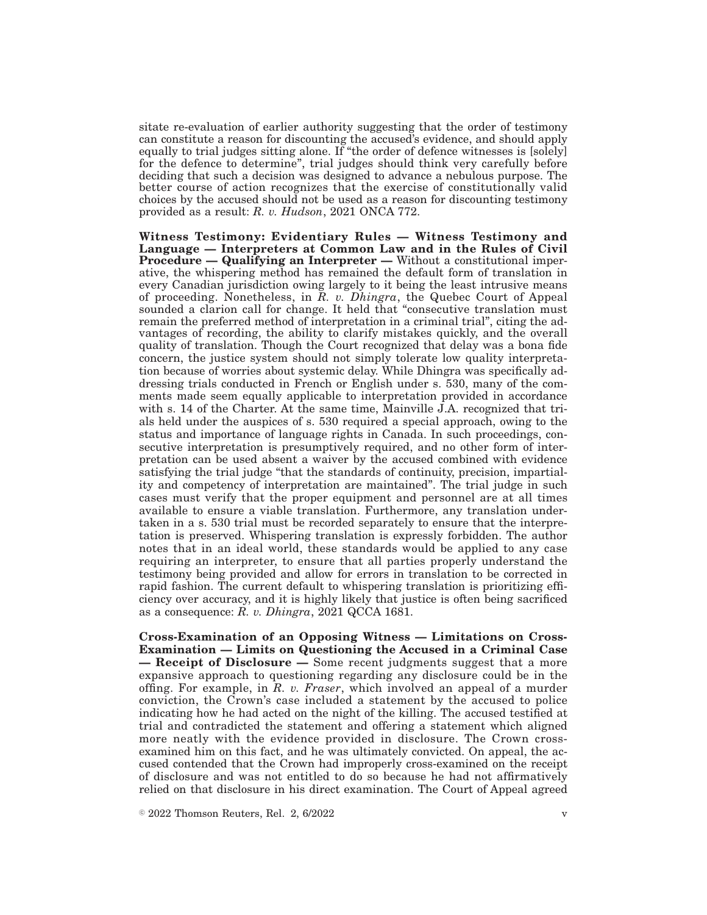sitate re-evaluation of earlier authority suggesting that the order of testimony can constitute a reason for discounting the accused's evidence, and should apply equally to trial judges sitting alone. If "the order of defence witnesses is [solely] for the defence to determine", trial judges should think very carefully before deciding that such a decision was designed to advance a nebulous purpose. The better course of action recognizes that the exercise of constitutionally valid choices by the accused should not be used as a reason for discounting testimony provided as a result: *R. v. Hudson*, 2021 ONCA 772.

**Witness Testimony: Evidentiary Rules — Witness Testimony and Language — Interpreters at Common Law and in the Rules of Civil Procedure — Qualifying an Interpreter —** Without a constitutional imperative, the whispering method has remained the default form of translation in every Canadian jurisdiction owing largely to it being the least intrusive means of proceeding. Nonetheless, in *R. v. Dhingra*, the Quebec Court of Appeal sounded a clarion call for change. It held that "consecutive translation must remain the preferred method of interpretation in a criminal trial", citing the advantages of recording, the ability to clarify mistakes quickly, and the overall quality of translation. Though the Court recognized that delay was a bona fide concern, the justice system should not simply tolerate low quality interpretation because of worries about systemic delay. While Dhingra was specifically addressing trials conducted in French or English under s. 530, many of the comments made seem equally applicable to interpretation provided in accordance with s. 14 of the Charter. At the same time, Mainville J.A. recognized that trials held under the auspices of s. 530 required a special approach, owing to the status and importance of language rights in Canada. In such proceedings, consecutive interpretation is presumptively required, and no other form of interpretation can be used absent a waiver by the accused combined with evidence satisfying the trial judge "that the standards of continuity, precision, impartiality and competency of interpretation are maintained". The trial judge in such cases must verify that the proper equipment and personnel are at all times available to ensure a viable translation. Furthermore, any translation undertaken in a s. 530 trial must be recorded separately to ensure that the interpretation is preserved. Whispering translation is expressly forbidden. The author notes that in an ideal world, these standards would be applied to any case requiring an interpreter, to ensure that all parties properly understand the testimony being provided and allow for errors in translation to be corrected in rapid fashion. The current default to whispering translation is prioritizing efficiency over accuracy, and it is highly likely that justice is often being sacrificed as a consequence: *R. v. Dhingra*, 2021 QCCA 1681.

**Cross-Examination of an Opposing Witness — Limitations on Cross-Examination — Limits on Questioning the Accused in a Criminal Case — Receipt of Disclosure —** Some recent judgments suggest that a more expansive approach to questioning regarding any disclosure could be in the offing. For example, in *R. v. Fraser*, which involved an appeal of a murder conviction, the Crown's case included a statement by the accused to police indicating how he had acted on the night of the killing. The accused testified at trial and contradicted the statement and offering a statement which aligned more neatly with the evidence provided in disclosure. The Crown crossexamined him on this fact, and he was ultimately convicted. On appeal, the accused contended that the Crown had improperly cross-examined on the receipt of disclosure and was not entitled to do so because he had not affirmatively relied on that disclosure in his direct examination. The Court of Appeal agreed

 $\degree$  2022 Thomson Reuters, Rel. 2, 6/2022 v